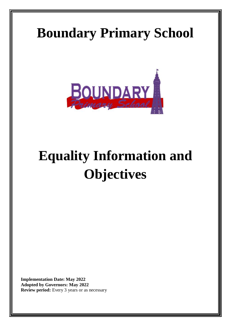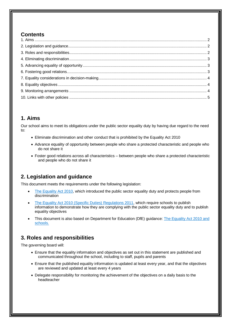#### **Contents**

## <span id="page-1-0"></span>**1. Aims**

Our school aims to meet its obligations under the public sector equality duty by having due regard to the need to:

- Eliminate discrimination and other conduct that is prohibited by the Equality Act 2010
- Advance equality of opportunity between people who share a protected characteristic and people who do not share it
- Foster good relations across all characteristics between people who share a protected characteristic and people who do not share it

# <span id="page-1-1"></span>**2. Legislation and guidance**

This document meets the requirements under the following legislation:

- [The Equality Act 2010,](http://www.legislation.gov.uk/ukpga/2010/15/contents) which introduced the public sector equality duty and protects people from discrimination
- [The Equality Act 2010 \(Specific Duties\) Regulations 2011,](http://www.legislation.gov.uk/uksi/2011/2260/contents/made) which require schools to publish information to demonstrate how they are complying with the public sector equality duty and to publish equality objectives
- This document is also based on Department for Education (DfE) guidance: [The Equality Act 2010 and](https://www.gov.uk/government/publications/equality-act-2010-advice-for-schools)  [schools.](https://www.gov.uk/government/publications/equality-act-2010-advice-for-schools)

# <span id="page-1-2"></span>**3. Roles and responsibilities**

The governing board will:

- Ensure that the equality information and objectives as set out in this statement are published and communicated throughout the school, including to staff, pupils and parents
- Ensure that the published equality information is updated at least every year, and that the objectives are reviewed and updated at least every 4 years
- Delegate responsibility for monitoring the achievement of the objectives on a daily basis to the headteacher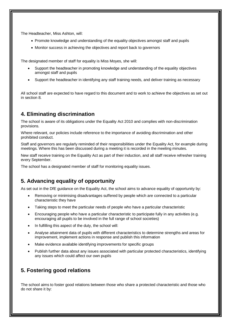The Headteacher, Miss Ashton, will:

- Promote knowledge and understanding of the equality objectives amongst staff and pupils
- Monitor success in achieving the objectives and report back to governors

The designated member of staff for equality is Miss Moyes, she will:

- Support the headteacher in promoting knowledge and understanding of the equality objectives amongst staff and pupils
- Support the headteacher in identifying any staff training needs, and deliver training as necessary

All school staff are expected to have regard to this document and to work to achieve the objectives as set out in section 8.

## <span id="page-2-0"></span>**4. Eliminating discrimination**

The school is aware of its obligations under the Equality Act 2010 and complies with non-discrimination provisions.

Where relevant, our policies include reference to the importance of avoiding discrimination and other prohibited conduct.

Staff and governors are regularly reminded of their responsibilities under the Equality Act, for example during meetings. Where this has been discussed during a meeting it is recorded in the meeting minutes.

New staff receive training on the Equality Act as part of their induction, and all staff receive refresher training every September.

The school has a designated member of staff for monitoring equality issues.

## <span id="page-2-1"></span>**5. Advancing equality of opportunity**

As set out in the DfE guidance on the Equality Act, the school aims to advance equality of opportunity by:

- Removing or minimising disadvantages suffered by people which are connected to a particular characteristic they have
- Taking steps to meet the particular needs of people who have a particular characteristic
- Encouraging people who have a particular characteristic to participate fully in any activities (e.g. encouraging all pupils to be involved in the full range of school societies)
- In fulfilling this aspect of the duty, the school will:
- Analyse attainment data of pupils with different characteristics to determine strengths and areas for improvement, implement actions in response and publish this information
- Make evidence available identifying improvements for specific groups
- <span id="page-2-2"></span>• Publish further data about any issues associated with particular protected characteristics, identifying any issues which could affect our own pupils

## **5. Fostering good relations**

The school aims to foster good relations between those who share a protected characteristic and those who do not share it by: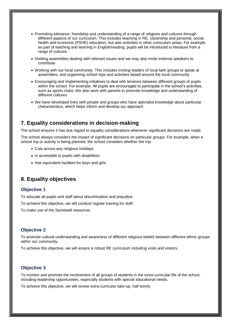- Promoting tolerance, friendship and understanding of a range of religions and cultures through different aspects of our curriculum. This includes teaching in RE, citizenship and personal, social, health and economic (PSHE) education, but also activities in other curriculum areas. For example, as part of teaching and learning in English/reading, pupils will be introduced to literature from a range of cultures
- Holding assemblies dealing with relevant issues and we may also invite external speakers to contribute
- Working with our local community. This includes inviting leaders of local faith groups to speak at assemblies, and organising school trips and activities based around the local community
- Encouraging and implementing initiatives to deal with tensions between different groups of pupils within the school. For example. All pupils are encouraged to participate in the school's activities, such as sports clubs. We also work with parents to promote knowledge and understanding of different cultures
- We have developed links with people and groups who have specialist knowledge about particular characteristics, which helps inform and develop our approach

#### <span id="page-3-0"></span>**7. Equality considerations in decision-making**

The school ensures it has due regard to equality considerations whenever significant decisions are made.

The school always considers the impact of significant decisions on particular groups. For example, when a school trip or activity is being planned, the school considers whether the trip:

- Cuts across any religious holidays
- Is accessible to pupils with disabilities
- Has equivalent facilities for boys and girls

## <span id="page-3-1"></span>**8. Equality objectives**

#### **Objective 1**

To educate all pupils and staff about discrimination and prejudice.

To achieve this objective, we will conduct regular training for staff.

To make use of the Stonewall resources.

#### **Objective 2**

To promote cultural understanding and awareness of different religious beliefs between different ethnic groups within our community.

To achieve this objective, we will ensure a robust RE curriculum including visits and visitors.

#### **Objective 3**

To monitor and promote the involvement of all groups of students in the extra-curricular life of the school, including leadership opportunities, especially students with special educational needs.

<span id="page-3-2"></span>To achieve this objective, we will review extra-curricular take-up, half termly